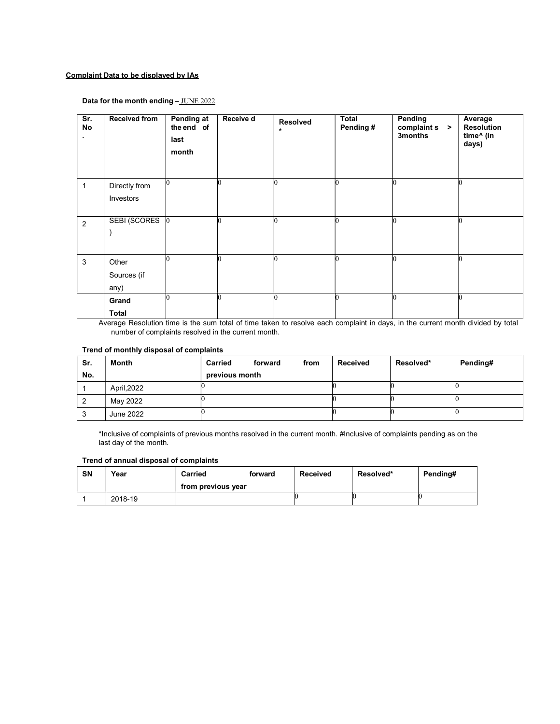## Complaint Data to be displayed by IAs

## Data for the month ending - JUNE 2022

| Sr.<br>No<br>٠. | <b>Received from</b> | <b>Pending at</b><br>the end of<br>last<br>month | Receive d | Resolved<br>$\star$ | <b>Total</b><br>Pending# | Pending<br>complain s ><br>3months | Average<br><b>Resolution</b><br>time^ (in<br>days) |
|-----------------|----------------------|--------------------------------------------------|-----------|---------------------|--------------------------|------------------------------------|----------------------------------------------------|
| $\mathbf{1}$    | Directly from        |                                                  |           |                     |                          |                                    |                                                    |
|                 | Investors            |                                                  |           |                     |                          |                                    |                                                    |
|                 |                      |                                                  |           |                     |                          |                                    |                                                    |
| $\overline{2}$  | <b>SEBI (SCORES</b>  | $\vert$ 0                                        |           |                     |                          |                                    |                                                    |
|                 |                      |                                                  |           |                     |                          |                                    |                                                    |
|                 |                      |                                                  |           |                     |                          |                                    |                                                    |
| 3               | Other                |                                                  |           |                     |                          |                                    |                                                    |
|                 | Sources (if          |                                                  |           |                     |                          |                                    |                                                    |
|                 | any)                 |                                                  |           |                     |                          |                                    |                                                    |
|                 | Grand                |                                                  |           |                     |                          |                                    |                                                    |
|                 | <b>Total</b>         |                                                  |           |                     |                          |                                    |                                                    |

Average Resolution time is the sum total of time taken to resolve each complaint in days, in the current month divided by total number of complaints resolved in the current month.

## Trend of monthly disposal of complaints

| Sr. | Month       | <b>Carried</b> | forward | from | <b>Received</b> | Resolved* | Pending# |
|-----|-------------|----------------|---------|------|-----------------|-----------|----------|
| No. |             | previous month |         |      |                 |           |          |
|     | April, 2022 |                |         |      |                 |           |          |
|     | May 2022    |                |         |      |                 |           |          |
|     | June 2022   |                |         |      |                 |           |          |

\*Inclusive of complaints of previous months resolved in the current month. #Inclusive of complaints pending as on the last day of the month.

## Trend of annual disposal of complaints

| <b>SN</b> | Year    | Carried            | forward | <b>Received</b> | Resolved* | Pending# |
|-----------|---------|--------------------|---------|-----------------|-----------|----------|
|           |         | from previous year |         |                 |           |          |
|           | 2018-19 |                    |         |                 |           |          |